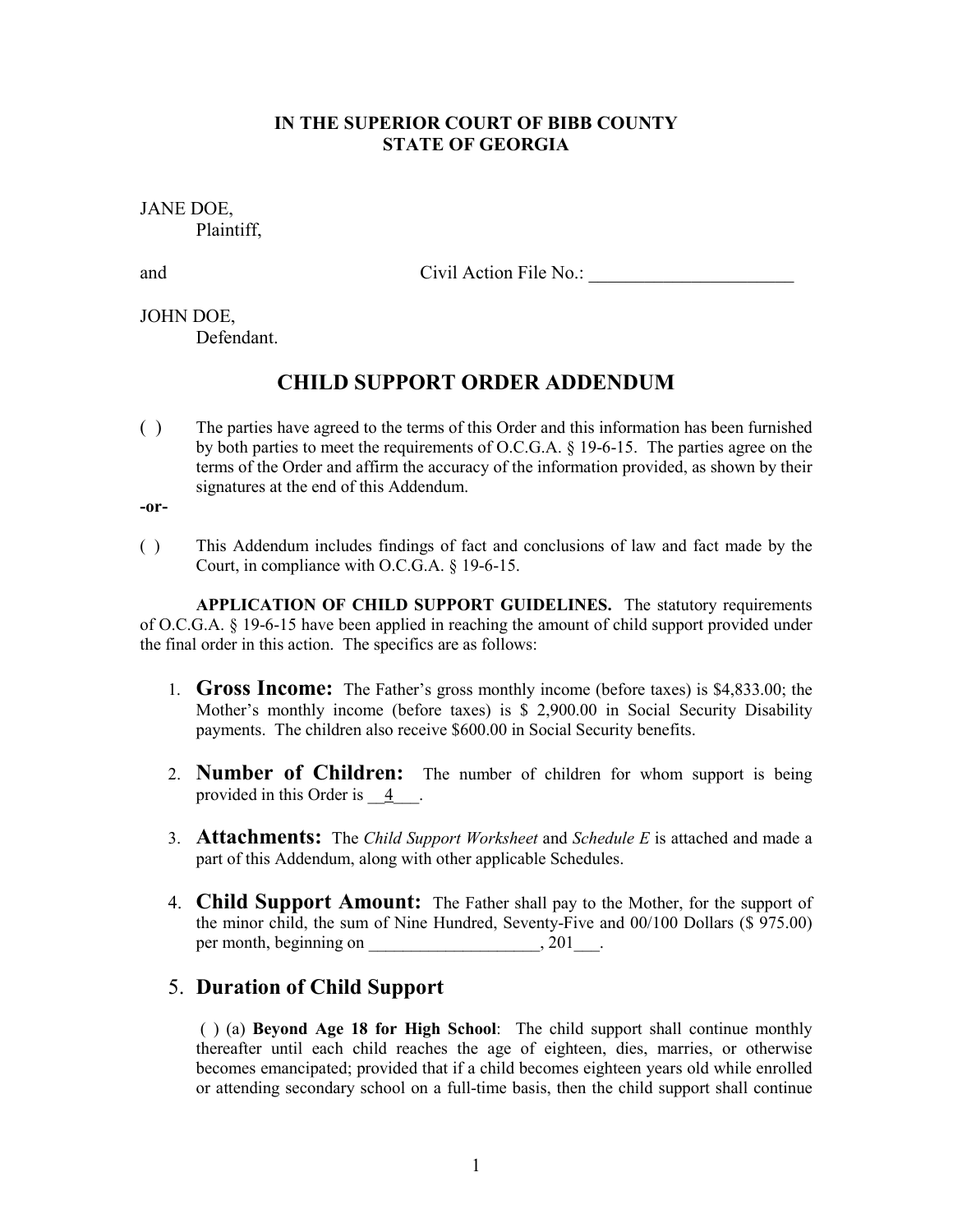### **IN THE SUPERIOR COURT OF BIBB COUNTY STATE OF GEORGIA**

JANE DOE, Plaintiff,

and Civil Action File No.:

#### JOHN DOE,

Defendant.

## **CHILD SUPPORT ORDER ADDENDUM**

( ) The parties have agreed to the terms of this Order and this information has been furnished by both parties to meet the requirements of O.C.G.A. § 19-6-15. The parties agree on the terms of the Order and affirm the accuracy of the information provided, as shown by their signatures at the end of this Addendum.

**-or-** 

( ) This Addendum includes findings of fact and conclusions of law and fact made by the Court, in compliance with O.C.G.A. § 19-6-15.

 **APPLICATION OF CHILD SUPPORT GUIDELINES.** The statutory requirements of O.C.G.A. § 19-6-15 have been applied in reaching the amount of child support provided under the final order in this action. The specifics are as follows:

- 1. **Gross Income:** The Father's gross monthly income (before taxes) is \$4,833.00; the Mother's monthly income (before taxes) is \$ 2,900.00 in Social Security Disability payments. The children also receive \$600.00 in Social Security benefits.
- 2. **Number of Children:** The number of children for whom support is being provided in this Order is  $\frac{4}{5}$ .
- 3. **Attachments:** The *Child Support Worksheet* and *Schedule E* is attached and made a part of this Addendum, along with other applicable Schedules.
- 4. **Child Support Amount:** The Father shall pay to the Mother, for the support of the minor child, the sum of Nine Hundred, Seventy-Five and 00/100 Dollars (\$ 975.00) per month, beginning on \_\_\_\_\_\_\_\_\_\_\_\_\_\_\_\_\_\_\_\_\_, 201\_\_\_\_.

# 5. **Duration of Child Support**

 ( ) (a) **Beyond Age 18 for High School**: The child support shall continue monthly thereafter until each child reaches the age of eighteen, dies, marries, or otherwise becomes emancipated; provided that if a child becomes eighteen years old while enrolled or attending secondary school on a full-time basis, then the child support shall continue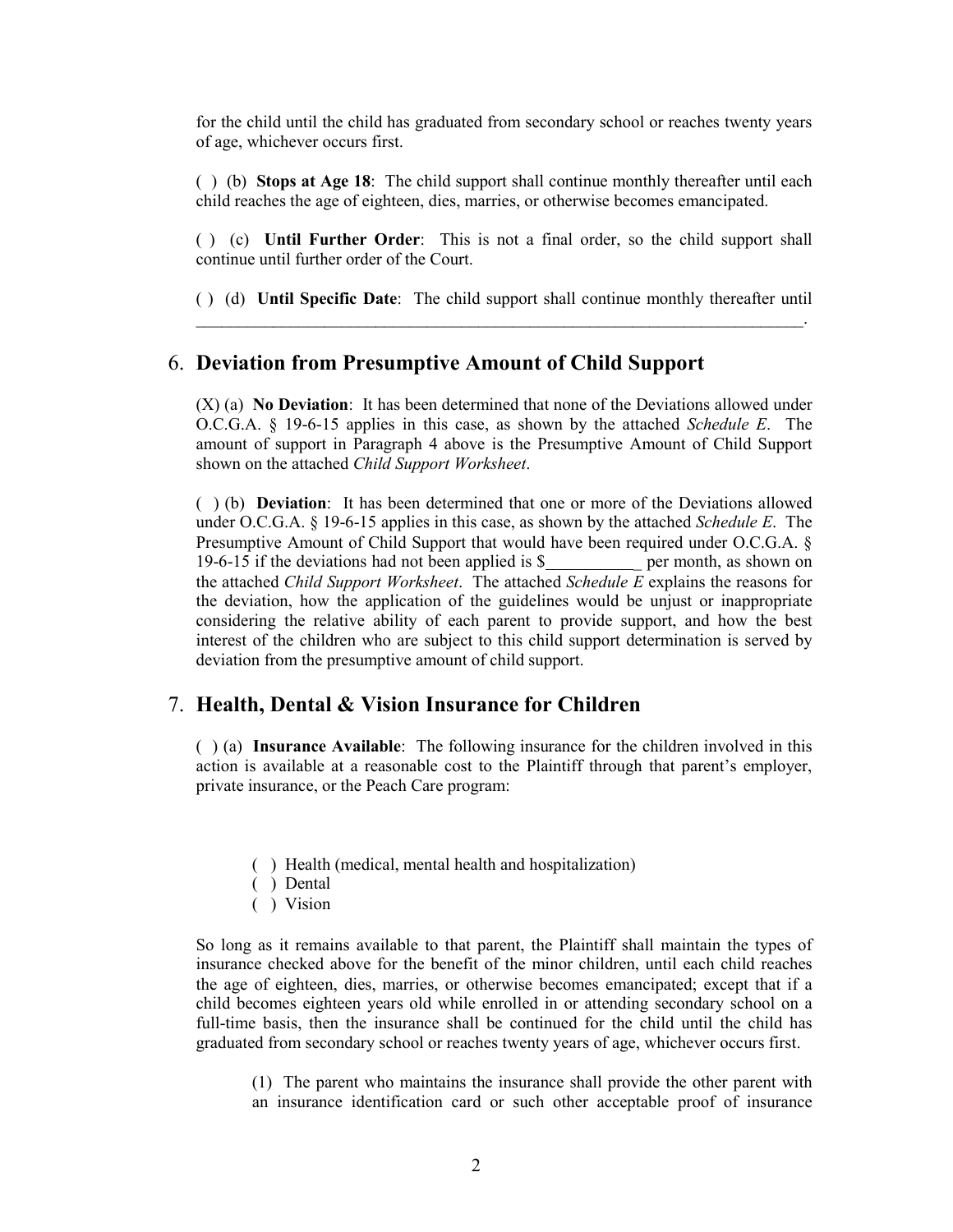for the child until the child has graduated from secondary school or reaches twenty years of age, whichever occurs first.

( ) (b) **Stops at Age 18**: The child support shall continue monthly thereafter until each child reaches the age of eighteen, dies, marries, or otherwise becomes emancipated.

( ) (c) **Until Further Order**: This is not a final order, so the child support shall continue until further order of the Court.

( ) (d) **Until Specific Date**: The child support shall continue monthly thereafter until  $\_$  , and the set of the set of the set of the set of the set of the set of the set of the set of the set of the set of the set of the set of the set of the set of the set of the set of the set of the set of the set of th

### 6. **Deviation from Presumptive Amount of Child Support**

(X) (a) **No Deviation**: It has been determined that none of the Deviations allowed under O.C.G.A. § 19-6-15 applies in this case, as shown by the attached *Schedule E*. The amount of support in Paragraph 4 above is the Presumptive Amount of Child Support shown on the attached *Child Support Worksheet*.

( ) (b) **Deviation**: It has been determined that one or more of the Deviations allowed under O.C.G.A. § 19-6-15 applies in this case, as shown by the attached *Schedule E*. The Presumptive Amount of Child Support that would have been required under O.C.G.A. § 19-6-15 if the deviations had not been applied is \$ \_ per month, as shown on the attached *Child Support Worksheet*. The attached *Schedule E* explains the reasons for the deviation, how the application of the guidelines would be unjust or inappropriate considering the relative ability of each parent to provide support, and how the best interest of the children who are subject to this child support determination is served by deviation from the presumptive amount of child support.

### 7. **Health, Dental & Vision Insurance for Children**

 ( ) (a) **Insurance Available**: The following insurance for the children involved in this action is available at a reasonable cost to the Plaintiff through that parent's employer, private insurance, or the Peach Care program:

- ( ) Health (medical, mental health and hospitalization)
- ( ) Dental
- ( ) Vision

So long as it remains available to that parent, the Plaintiff shall maintain the types of insurance checked above for the benefit of the minor children, until each child reaches the age of eighteen, dies, marries, or otherwise becomes emancipated; except that if a child becomes eighteen years old while enrolled in or attending secondary school on a full-time basis, then the insurance shall be continued for the child until the child has graduated from secondary school or reaches twenty years of age, whichever occurs first.

 (1) The parent who maintains the insurance shall provide the other parent with an insurance identification card or such other acceptable proof of insurance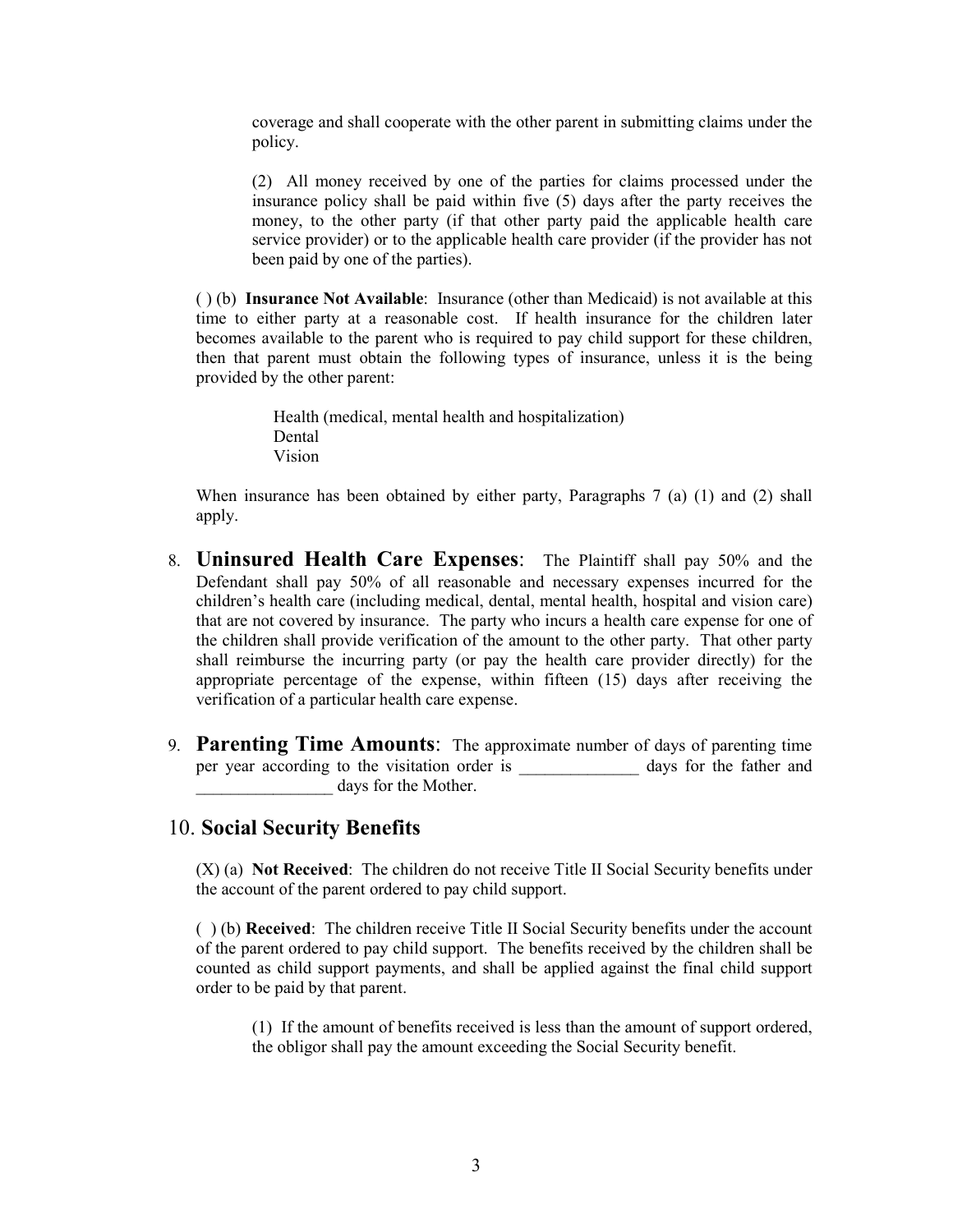coverage and shall cooperate with the other parent in submitting claims under the policy.

 (2) All money received by one of the parties for claims processed under the insurance policy shall be paid within five (5) days after the party receives the money, to the other party (if that other party paid the applicable health care service provider) or to the applicable health care provider (if the provider has not been paid by one of the parties).

 ( ) (b) **Insurance Not Available**: Insurance (other than Medicaid) is not available at this time to either party at a reasonable cost. If health insurance for the children later becomes available to the parent who is required to pay child support for these children, then that parent must obtain the following types of insurance, unless it is the being provided by the other parent:

> Health (medical, mental health and hospitalization) Dental Vision

 When insurance has been obtained by either party, Paragraphs 7 (a) (1) and (2) shall apply.

- 8. **Uninsured Health Care Expenses**: The Plaintiff shall pay 50% and the Defendant shall pay 50% of all reasonable and necessary expenses incurred for the children's health care (including medical, dental, mental health, hospital and vision care) that are not covered by insurance. The party who incurs a health care expense for one of the children shall provide verification of the amount to the other party. That other party shall reimburse the incurring party (or pay the health care provider directly) for the appropriate percentage of the expense, within fifteen (15) days after receiving the verification of a particular health care expense.
- 9. **Parenting Time Amounts**: The approximate number of days of parenting time per year according to the visitation order is days for the father and days for the Mother.

### 10. **Social Security Benefits**

(X) (a) **Not Received**: The children do not receive Title II Social Security benefits under the account of the parent ordered to pay child support.

( ) (b) **Received**: The children receive Title II Social Security benefits under the account of the parent ordered to pay child support. The benefits received by the children shall be counted as child support payments, and shall be applied against the final child support order to be paid by that parent.

(1) If the amount of benefits received is less than the amount of support ordered, the obligor shall pay the amount exceeding the Social Security benefit.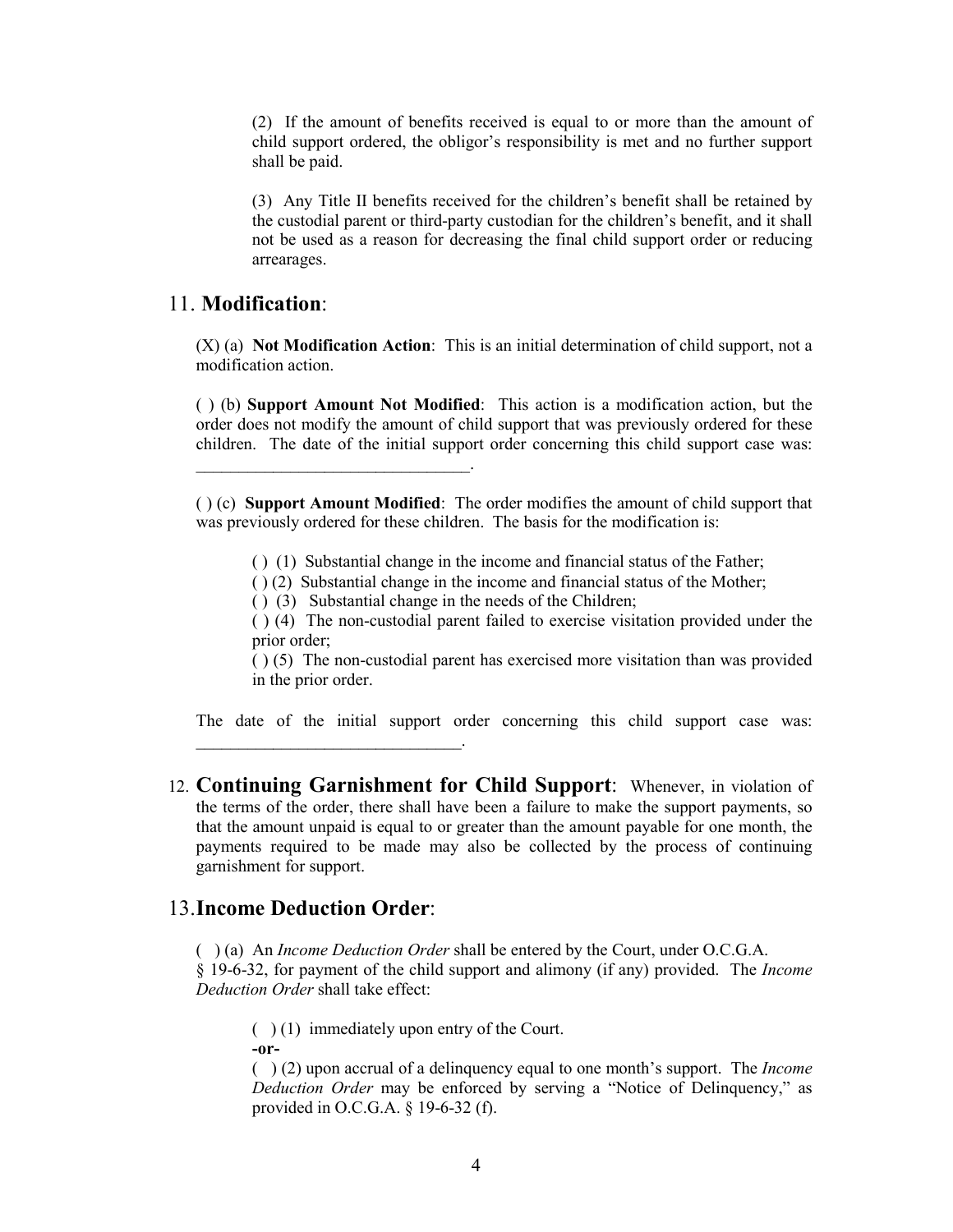(2) If the amount of benefits received is equal to or more than the amount of child support ordered, the obligor's responsibility is met and no further support shall be paid.

(3) Any Title II benefits received for the children's benefit shall be retained by the custodial parent or third-party custodian for the children's benefit, and it shall not be used as a reason for decreasing the final child support order or reducing arrearages.

## 11. **Modification**:

 $\mathcal{L}=\mathcal{L}=\mathcal{L}=\mathcal{L}=\mathcal{L}=\mathcal{L}=\mathcal{L}=\mathcal{L}=\mathcal{L}=\mathcal{L}=\mathcal{L}=\mathcal{L}=\mathcal{L}=\mathcal{L}=\mathcal{L}=\mathcal{L}=\mathcal{L}=\mathcal{L}=\mathcal{L}=\mathcal{L}=\mathcal{L}=\mathcal{L}=\mathcal{L}=\mathcal{L}=\mathcal{L}=\mathcal{L}=\mathcal{L}=\mathcal{L}=\mathcal{L}=\mathcal{L}=\mathcal{L}=\mathcal{L}=\mathcal{L}=\mathcal{L}=\mathcal{L}=\mathcal{L}=\mathcal{$ 

 $\mathcal{L}=\mathcal{L}=\mathcal{L}=\mathcal{L}=\mathcal{L}=\mathcal{L}=\mathcal{L}=\mathcal{L}=\mathcal{L}=\mathcal{L}=\mathcal{L}=\mathcal{L}=\mathcal{L}=\mathcal{L}=\mathcal{L}=\mathcal{L}=\mathcal{L}=\mathcal{L}=\mathcal{L}=\mathcal{L}=\mathcal{L}=\mathcal{L}=\mathcal{L}=\mathcal{L}=\mathcal{L}=\mathcal{L}=\mathcal{L}=\mathcal{L}=\mathcal{L}=\mathcal{L}=\mathcal{L}=\mathcal{L}=\mathcal{L}=\mathcal{L}=\mathcal{L}=\mathcal{L}=\mathcal{$ 

(X) (a) **Not Modification Action**: This is an initial determination of child support, not a modification action.

( ) (b) **Support Amount Not Modified**: This action is a modification action, but the order does not modify the amount of child support that was previously ordered for these children. The date of the initial support order concerning this child support case was:

( ) (c) **Support Amount Modified**: The order modifies the amount of child support that was previously ordered for these children. The basis for the modification is:

- ( ) (1) Substantial change in the income and financial status of the Father;
- ( ) (2) Substantial change in the income and financial status of the Mother;
- ( ) (3) Substantial change in the needs of the Children;

( ) (4) The non-custodial parent failed to exercise visitation provided under the prior order;

( ) (5) The non-custodial parent has exercised more visitation than was provided in the prior order.

The date of the initial support order concerning this child support case was:

12. **Continuing Garnishment for Child Support**: Whenever, in violation of the terms of the order, there shall have been a failure to make the support payments, so that the amount unpaid is equal to or greater than the amount payable for one month, the payments required to be made may also be collected by the process of continuing garnishment for support.

## 13.**Income Deduction Order**:

( ) (a) An *Income Deduction Order* shall be entered by the Court, under O.C.G.A.

§ 19-6-32, for payment of the child support and alimony (if any) provided. The *Income Deduction Order* shall take effect:

 $( )$  (1) immediately upon entry of the Court. **-or-** 

( ) (2) upon accrual of a delinquency equal to one month's support. The *Income Deduction Order* may be enforced by serving a "Notice of Delinquency," as provided in O.C.G.A. § 19-6-32 (f).